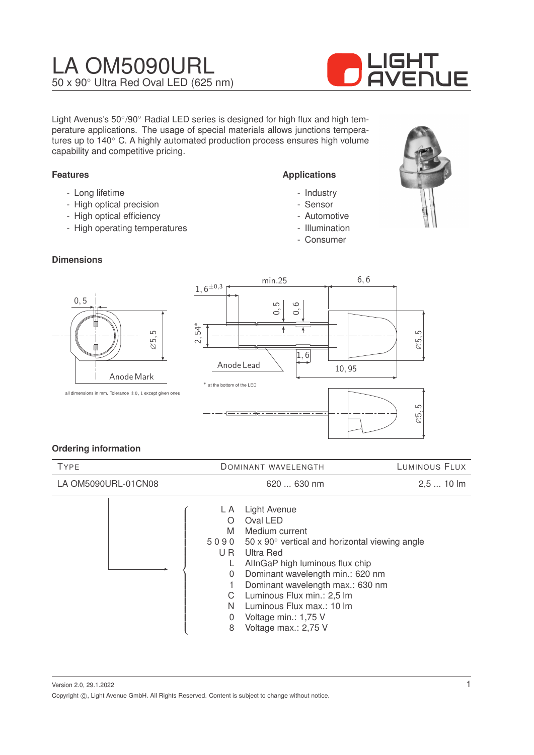## LA OM5090URL 50 x 90◦ Ultra Red Oval LED (625 nm)



Light Avenus's 50°/90° Radial LED series is designed for high flux and high temperature applications. The usage of special materials allows junctions temperatures up to 140◦ C. A highly automated production process ensures high volume capability and competitive pricing.

#### **Features**

- Long lifetime
- High optical precision
- High optical efficiency
- High operating temperatures

#### **Dimensions**

# ∅5, 5 0, 5 Anode Mark



#### **Ordering information**

| <b>TYPE</b>         |  | DOMINANT WAVELENGTH                                                                           |                                                                                                                                                                                                                                                                                                                                             | LUMINOUS FLUX |  |
|---------------------|--|-----------------------------------------------------------------------------------------------|---------------------------------------------------------------------------------------------------------------------------------------------------------------------------------------------------------------------------------------------------------------------------------------------------------------------------------------------|---------------|--|
| LA OM5090URL-01CN08 |  |                                                                                               | 620  630 nm                                                                                                                                                                                                                                                                                                                                 | $2,510$ lm    |  |
|                     |  | L A<br>$\left( \right)$<br>M<br>5090<br>U R<br>L<br>$\Omega$<br>C<br>N<br>$\overline{0}$<br>8 | Light Avenue<br>Oval LED<br>Medium current<br>$50 \times 90^\circ$ vertical and horizontal viewing angle<br>Ultra Red<br>AllnGaP high luminous flux chip<br>Dominant wavelength min.: 620 nm<br>Dominant wavelength max.: 630 nm<br>Luminous Flux min.: 2,5 lm<br>Luminous Flux max.: 10 lm<br>Voltage min.: 1,75 V<br>Voltage max.: 2,75 V |               |  |

Version 2.0, 29.1.2022 Copyright ©, Light Avenue GmbH. All Rights Reserved. Content is subject to change without notice.

**Applications**

- Industry
- Sensor
- Automotive
- Illumination
- Consumer

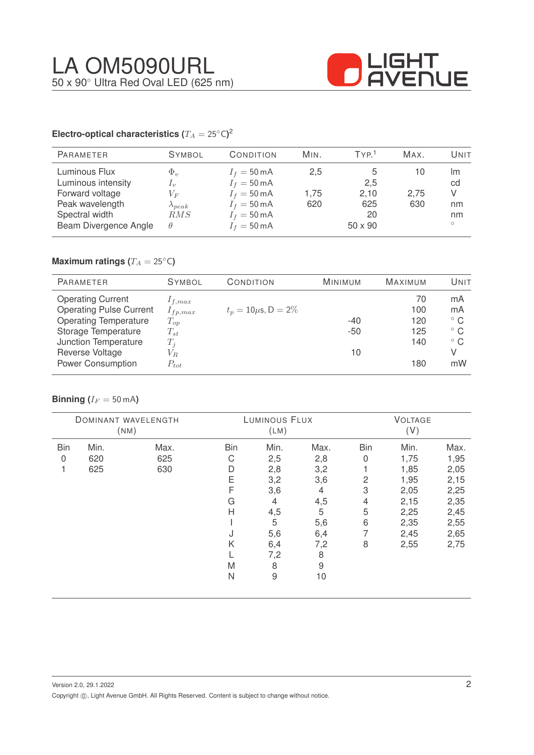

#### **Electro-optical characteristics (T\_A = 25^{\circ} \text{C}</math>)<sup>2</sup>**

| <b>PARAMETER</b>                                                                                                     | <b>SYMBOL</b>                                                                                                                                                                                                                                                                                                                                                                                                                                                                                                | CONDITION                                                                                                                                          | MIN.               | TYP <sup>1</sup>                           | MAX.              | Unit                                 |
|----------------------------------------------------------------------------------------------------------------------|--------------------------------------------------------------------------------------------------------------------------------------------------------------------------------------------------------------------------------------------------------------------------------------------------------------------------------------------------------------------------------------------------------------------------------------------------------------------------------------------------------------|----------------------------------------------------------------------------------------------------------------------------------------------------|--------------------|--------------------------------------------|-------------------|--------------------------------------|
| Luminous Flux<br>Luminous intensity<br>Forward voltage<br>Peak wavelength<br>Spectral width<br>Beam Divergence Angle | $\Phi_{\eta}$<br>$\perp_{\eta}$<br>$V_{F}% ^{p^{\prime }},\qquad V_{F}^{p^{\prime }},\qquad V_{F}^{p^{\prime }},\qquad V_{F}^{p^{\prime }},\qquad V_{F}^{p^{\prime }},\qquad V_{F}^{p^{\prime }},\qquad V_{F}^{p^{\prime }},\qquad V_{F}^{p^{\prime }},\qquad V_{F}^{p^{\prime }},\qquad V_{F}^{p^{\prime }},\qquad V_{F}^{p^{\prime }},\qquad V_{F}^{p^{\prime }},\qquad V_{F}^{p^{\prime }},\qquad V_{F}^{p^{\prime }},\qquad V_{F}^{p^{\prime }},\qquad V_{F}^{p^{\prime$<br>$\lambda_{peak}$<br>RMS<br>θ | $I_f = 50 \text{ mA}$<br>$I_f = 50 \text{ mA}$<br>$I_f = 50 \text{ mA}$<br>$I_f = 50 \text{ mA}$<br>$I_f = 50 \text{ mA}$<br>$I_f = 50 \text{ mA}$ | 2,5<br>1.75<br>620 | 2,5<br>2,10<br>625<br>20<br>$50 \times 90$ | 10<br>2,75<br>630 | Im<br>cd<br>V<br>nm<br>nm<br>$\circ$ |

### **Maximum ratings (** $T_A = 25$ °C)

| <b>PARAMETER</b>               | <b>SYMBOL</b> | CONDITION                 | <b>MINIMUM</b> | <b>MAXIMUM</b> | UNIT         |
|--------------------------------|---------------|---------------------------|----------------|----------------|--------------|
| <b>Operating Current</b>       | $1_{f,max}$   |                           |                | 70             | mA           |
| <b>Operating Pulse Current</b> | $I_{fp,max}$  | $t_p = 10 \mu s, D = 2\%$ |                | 100            | mA           |
| <b>Operating Temperature</b>   | $T_{op}$      |                           | $-40$          | 120            | $^{\circ}$ C |
| Storage Temperature            | $T_{st}$      |                           | $-50$          | 125            | $^{\circ}$ C |
| Junction Temperature           | $T_i$         |                           |                | 140            | $^{\circ}$ C |
| Reverse Voltage                | $V_{R.}$      |                           | 10             |                | V            |
| <b>Power Consumption</b>       | $P_{tot}$     |                           |                | 180            | mW           |

#### **Binning** ( $I_F = 50$  mA)

| DOMINANT WAVELENGTH<br>(NM) |      | LUMINOUS FLUX<br>(LM) |            |                | <b>VOLTAGE</b><br>(V) |            |      |      |
|-----------------------------|------|-----------------------|------------|----------------|-----------------------|------------|------|------|
| <b>Bin</b>                  | Min. | Max.                  | <b>Bin</b> | Min.           | Max.                  | <b>Bin</b> | Min. | Max. |
| 0                           | 620  | 625                   | С          | 2,5            | 2,8                   | 0          | 1,75 | 1,95 |
|                             | 625  | 630                   | D          | 2,8            | 3,2                   |            | 1,85 | 2,05 |
|                             |      |                       | Ε          | 3,2            | 3,6                   | 2          | 1,95 | 2,15 |
|                             |      |                       | F          | 3,6            | 4                     | 3          | 2,05 | 2,25 |
|                             |      |                       | G          | $\overline{4}$ | 4,5                   | 4          | 2,15 | 2,35 |
|                             |      |                       | Н          | 4,5            | 5                     | 5          | 2,25 | 2,45 |
|                             |      |                       |            | 5              | 5,6                   | 6          | 2,35 | 2,55 |
|                             |      |                       | J          | 5,6            | 6,4                   | 7          | 2,45 | 2,65 |
|                             |      |                       | Κ          | 6,4            | 7,2                   | 8          | 2,55 | 2,75 |
|                             |      |                       |            | 7,2            | 8                     |            |      |      |
|                             |      |                       | M          | 8              | 9                     |            |      |      |
|                             |      |                       | N          | $\hbox{9}$     | 10                    |            |      |      |
|                             |      |                       |            |                |                       |            |      |      |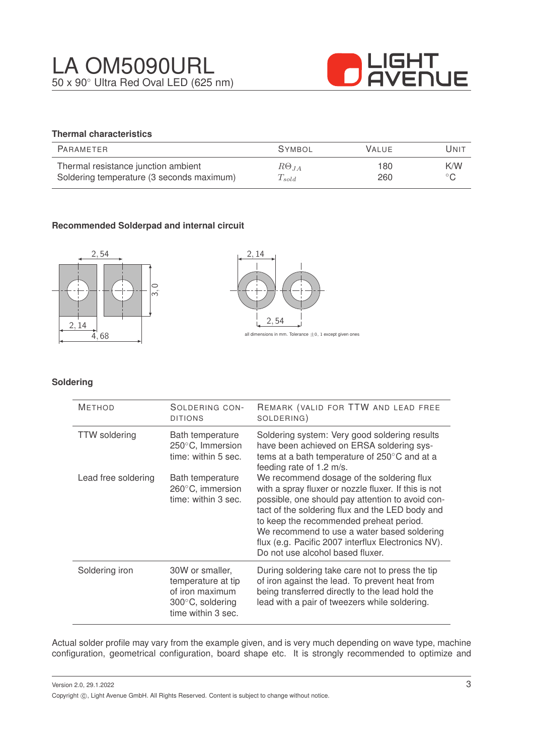

#### **Thermal characteristics**

| PARAMETER                                 | <b>SYMBOL</b>  | <b>VALUE</b> | Unit           |
|-------------------------------------------|----------------|--------------|----------------|
| Thermal resistance junction ambient       | $R\Theta_{JA}$ | 180          | K/W            |
| Soldering temperature (3 seconds maximum) | $T_{solid}$    | 260          | $\circ$ $\cap$ |

#### **Recommended Solderpad and internal circuit**





#### **Soldering**

| <b>METHOD</b>        | SOLDERING CON-<br><b>DITIONS</b>                                                                   | REMARK (VALID FOR TTW AND LEAD FREE<br>SOLDERING)                                                                                                                                                                                                                                                                                                                                            |
|----------------------|----------------------------------------------------------------------------------------------------|----------------------------------------------------------------------------------------------------------------------------------------------------------------------------------------------------------------------------------------------------------------------------------------------------------------------------------------------------------------------------------------------|
| <b>TTW</b> soldering | Bath temperature<br>250°C, Immersion<br>time: within 5 sec.                                        | Soldering system: Very good soldering results<br>have been achieved on ERSA soldering sys-<br>tems at a bath temperature of 250°C and at a<br>feeding rate of 1.2 m/s.                                                                                                                                                                                                                       |
| Lead free soldering  | Bath temperature<br>260°C, immersion<br>time: within 3 sec.                                        | We recommend dosage of the soldering flux<br>with a spray fluxer or nozzle fluxer. If this is not<br>possible, one should pay attention to avoid con-<br>tact of the soldering flux and the LED body and<br>to keep the recommended preheat period.<br>We recommend to use a water based soldering<br>flux (e.g. Pacific 2007 interflux Electronics NV).<br>Do not use alcohol based fluxer. |
| Soldering iron       | 30W or smaller,<br>temperature at tip<br>of iron maximum<br>300°C, soldering<br>time within 3 sec. | During soldering take care not to press the tip<br>of iron against the lead. To prevent heat from<br>being transferred directly to the lead hold the<br>lead with a pair of tweezers while soldering.                                                                                                                                                                                        |

Actual solder profile may vary from the example given, and is very much depending on wave type, machine configuration, geometrical configuration, board shape etc. It is strongly recommended to optimize and

Version 2.0, 29.1.2022 Copyright  $\circled{c}$ , Light Avenue GmbH. All Rights Reserved. Content is subject to change without notice.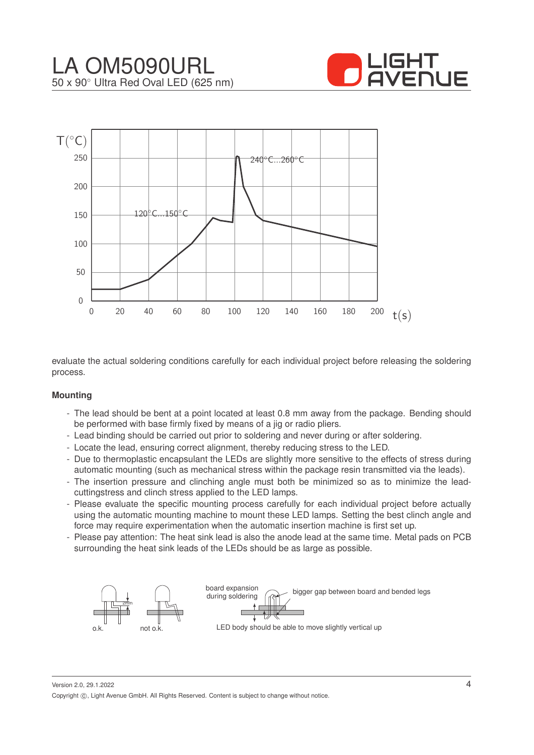



evaluate the actual soldering conditions carefully for each individual project before releasing the soldering process.

#### **Mounting**

- The lead should be bent at a point located at least 0.8 mm away from the package. Bending should be performed with base firmly fixed by means of a jig or radio pliers.
- Lead binding should be carried out prior to soldering and never during or after soldering.
- Locate the lead, ensuring correct alignment, thereby reducing stress to the LED.
- Due to thermoplastic encapsulant the LEDs are slightly more sensitive to the effects of stress during automatic mounting (such as mechanical stress within the package resin transmitted via the leads).
- The insertion pressure and clinching angle must both be minimized so as to minimize the leadcuttingstress and clinch stress applied to the LED lamps.
- Please evaluate the specific mounting process carefully for each individual project before actually using the automatic mounting machine to mount these LED lamps. Setting the best clinch angle and force may require experimentation when the automatic insertion machine is first set up.
- Please pay attention: The heat sink lead is also the anode lead at the same time. Metal pads on PCB surrounding the heat sink leads of the LEDs should be as large as possible.



Version 2.0, 29.1.2022 Copyright ©, Light Avenue GmbH. All Rights Reserved. Content is subject to change without notice.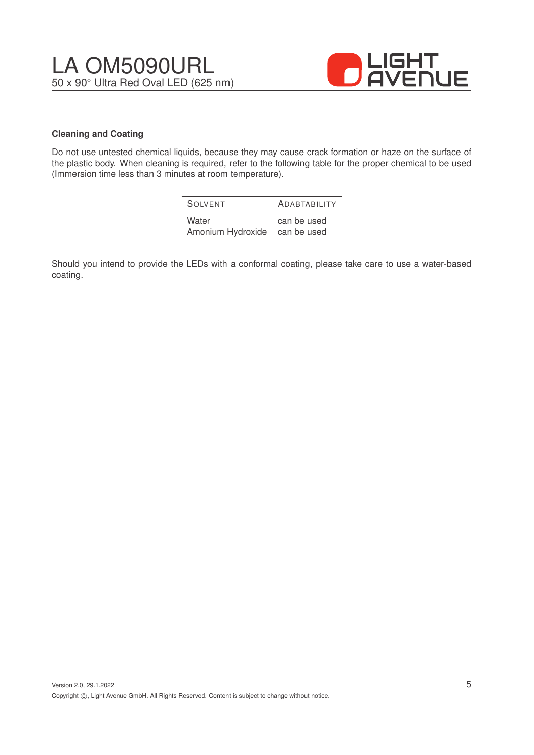

#### **Cleaning and Coating**

Do not use untested chemical liquids, because they may cause crack formation or haze on the surface of the plastic body. When cleaning is required, refer to the following table for the proper chemical to be used (Immersion time less than 3 minutes at room temperature).

| SOIVENT           | <b>ADABTABILITY</b> |
|-------------------|---------------------|
| Water             | can be used         |
| Amonium Hydroxide | can be used         |

Should you intend to provide the LEDs with a conformal coating, please take care to use a water-based coating.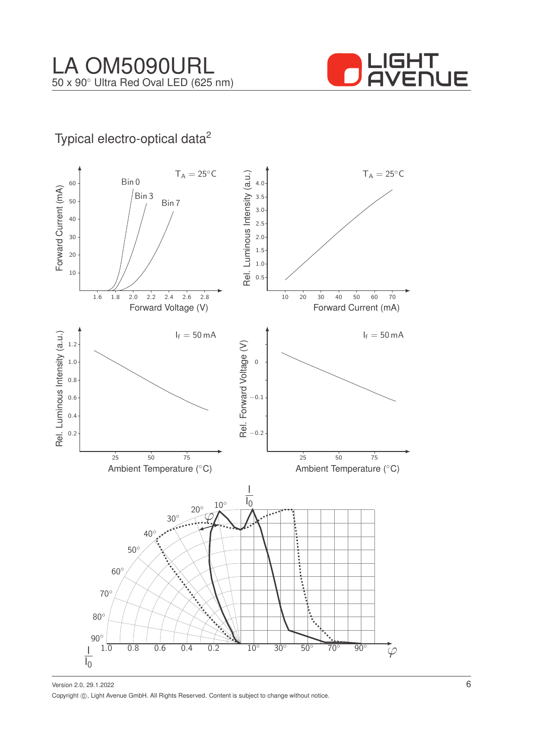

## Typical electro-optical data<sup>2</sup>

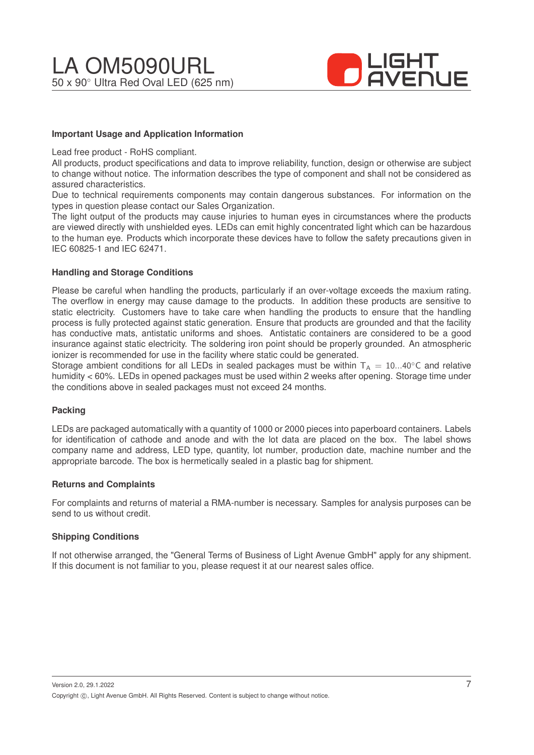

#### **Important Usage and Application Information**

Lead free product - RoHS compliant.

All products, product specifications and data to improve reliability, function, design or otherwise are subject to change without notice. The information describes the type of component and shall not be considered as assured characteristics.

Due to technical requirements components may contain dangerous substances. For information on the types in question please contact our Sales Organization.

The light output of the products may cause injuries to human eyes in circumstances where the products are viewed directly with unshielded eyes. LEDs can emit highly concentrated light which can be hazardous to the human eye. Products which incorporate these devices have to follow the safety precautions given in IEC 60825-1 and IEC 62471.

#### **Handling and Storage Conditions**

Please be careful when handling the products, particularly if an over-voltage exceeds the maxium rating. The overflow in energy may cause damage to the products. In addition these products are sensitive to static electricity. Customers have to take care when handling the products to ensure that the handling process is fully protected against static generation. Ensure that products are grounded and that the facility has conductive mats, antistatic uniforms and shoes. Antistatic containers are considered to be a good insurance against static electricity. The soldering iron point should be properly grounded. An atmospheric ionizer is recommended for use in the facility where static could be generated.

Storage ambient conditions for all LEDs in sealed packages must be within  $T_A = 10...40^\circ$ C and relative humidity < 60%. LEDs in opened packages must be used within 2 weeks after opening. Storage time under the conditions above in sealed packages must not exceed 24 months.

#### **Packing**

LEDs are packaged automatically with a quantity of 1000 or 2000 pieces into paperboard containers. Labels for identification of cathode and anode and with the lot data are placed on the box. The label shows company name and address, LED type, quantity, lot number, production date, machine number and the appropriate barcode. The box is hermetically sealed in a plastic bag for shipment.

#### **Returns and Complaints**

For complaints and returns of material a RMA-number is necessary. Samples for analysis purposes can be send to us without credit.

#### **Shipping Conditions**

If not otherwise arranged, the "General Terms of Business of Light Avenue GmbH" apply for any shipment. If this document is not familiar to you, please request it at our nearest sales office.